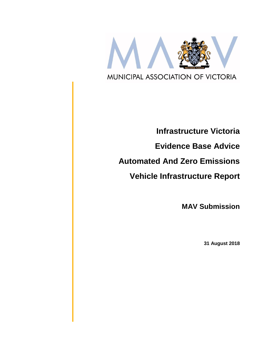

# **Infrastructure Victoria Evidence Base Advice Automated And Zero Emissions Vehicle Infrastructure Report**

**MAV Submission**

**31 August 2018**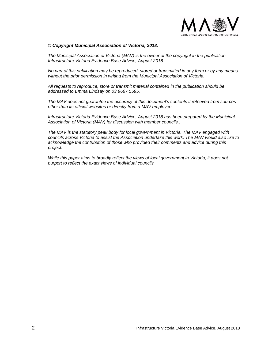

#### *© Copyright Municipal Association of Victoria, 2018.*

*The Municipal Association of Victoria (MAV) is the owner of the copyright in the publication Infrastructure Victoria Evidence Base Advice, August 2018.* 

*No part of this publication may be reproduced, stored or transmitted in any form or by any means without the prior permission in writing from the Municipal Association of Victoria.* 

*All requests to reproduce, store or transmit material contained in the publication should be addressed to Emma Lindsay on 03 9667 5595.* 

*The MAV does not guarantee the accuracy of this document's contents if retrieved from sources other than its official websites or directly from a MAV employee.*

*Infrastructure Victoria Evidence Base Advice, August 2018 has been prepared by the Municipal Association of Victoria (MAV) for discussion with member councils..*

*The MAV is the statutory peak body for local government in Victoria. The MAV engaged with councils across Victoria to assist the Association undertake this work. The MAV would also like to acknowledge the contribution of those who provided their comments and advice during this project.* 

*While this paper aims to broadly reflect the views of local government in Victoria, it does not purport to reflect the exact views of individual councils.*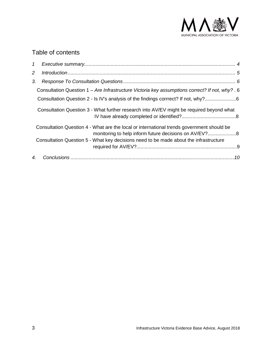

## Table of contents

| $\mathcal{I}$         |                                                                                               |  |
|-----------------------|-----------------------------------------------------------------------------------------------|--|
| $\overline{2}$        |                                                                                               |  |
| 3.                    |                                                                                               |  |
|                       | Consultation Question 1 – Are Infrastructure Victoria key assumptions correct? If not, why? 6 |  |
|                       | Consultation Question 2 - Is IV's analysis of the findings corrrect? If not, why?             |  |
|                       | Consultation Question 3 - What further research into AV/EV might be required beyond what      |  |
|                       | Consultation Question 4 - What are the local or international trends government should be     |  |
|                       | Consultation Question 5 - What key decisions need to be made about the infrastructure         |  |
| $\mathcal{A}_{\cdot}$ |                                                                                               |  |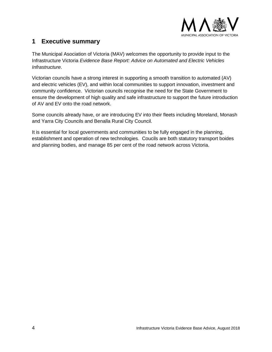

## <span id="page-3-0"></span>**1 Executive summary**

The Municipal Asociation of Victoria (MAV) welcomes the opportunity to provide input to the Infrastructure Victoria *Evidence Base Report: Advice on Automated and Electric Vehicles Infrastructure*.

Victorian councils have a strong interest in supporting a smooth transition to automated (AV) and electric vehicles (EV), and within local communities to support innovation, investment and community confidence. Victorian councils recognise the need for the State Government to ensure the development of high quality and safe infrastructure to support the future introduction of AV and EV onto the road network.

Some councils already have, or are introducing EV into their fleets including Moreland, Monash and Yarra City Councils and Benalla Rural City Council.

It is essential for local governments and communities to be fully engaged in the planning, establishment and operation of new technologies. Coucils are both statutory transport boides and planning bodies, and manage 85 per cent of the road network across Victoria.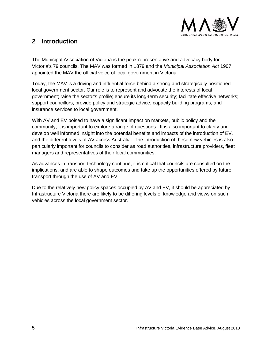

## <span id="page-4-0"></span>**2 Introduction**

The Municipal Association of Victoria is the peak representative and advocacy body for Victoria's 79 councils. The MAV was formed in 1879 and the *Municipal Association Act* 1907 appointed the MAV the official voice of local government in Victoria.

Today, the MAV is a driving and influential force behind a strong and strategically positioned local government sector. Our role is to represent and advocate the interests of local government; raise the sector's profile; ensure its long-term security; facilitate effective networks; support councillors; provide policy and strategic advice; capacity building programs; and insurance services to local government.

With AV and EV poised to have a significant impact on markets, public policy and the community, it is important to explore a range of questions. It is also important to clarify and develop well informed insight into the potential benefits and impacts of the introduction of EV, and the different levels of AV across Australia. The introduction of these new vehicles is also particularly important for councils to consider as road authorities, infrastructure providers, fleet managers and representatives of their local communities.

As advances in transport technology continue, it is critical that councils are consulted on the implications, and are able to shape outcomes and take up the opportunities offered by future transport through the use of AV and EV.

Due to the relatively new policy spaces occupied by AV and EV, it should be appreciated by Infrastructure Victoria there are likely to be differing levels of knowledge and views on such vehicles across the local government sector.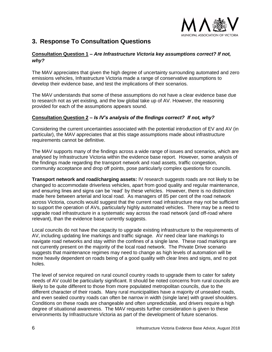

## <span id="page-5-0"></span>**3. Response To Consultation Questions**

### <span id="page-5-1"></span>**Consultation Question 1** *– Are Infrastructure Victoria key assumptions correct? If not, why?*

The MAV appreciates that given the high degree of uncertainty surrounding automated and zero emissions vehicles, Infrastructure Victoria made a range of conservative assumptions to develop their evidence base, and test the implications of their scenarios.

The MAV understands that some of these assumptions do not have a clear evidence base due to research not as yet existing, and the low global take up of AV. However, the reasoning provided for each of the assumptions appears sound.

#### **Consultation Question 2** *– Is IV's analysis of the findings correct? If not, why?*

Considering the current uncertainties associated with the potential introduction of EV and AV (in particular), the MAV appreciates that at this stage assumptions made about infrastructure requirements cannot be definitive.

The MAV supports many of the findings across a wide range of issues and scenarios, which are analysed by Infrastructure Victoria within the evidence base report. However, some analysis of the findings made regarding the transport network and road assets, traffic congestion, community acceptance and drop off points, pose particularly complex questions for councils.

**Transport network and road/charging assets:** IV research suggests roads are not likely to be changed to accommodate driverless vehicles, apart from good quality and regular maintenance, and ensuring lines and signs can be 'read' by these vehicles. However, there is no distinction made here between arterial and local road. As managers of 85 per cent of the road network across Victoria, councils would suggest that the current road infrastructure may not be sufficient to support the operation of AVs, particularly highly automated vehicles. There may be a need to upgrade road infrastructure in a systematic way across the road network (and off-road where relevant), than the evidence base currently suggests.

Local councils do not have the capacity to upgrade existing infrastructure to the requirements of AV, including updating line markings and traffic signage. AV need clear lane markings to navigate road networks and stay within the confines of a single lane. These road markings are not currently present on the majority of the local road network. The Private Drive scenario suggests that maintenance regimes may need to change as high levels of automation will be more heavily dependent on roads being of a good quality with clear lines and signs, and no pot holes.

The level of service required on rural council country roads to upgrade them to cater for safety needs of AV could be particularly significant. It should be noted concerns from rural councils are likely to be quite different to those from more populated metropolitan councils, due to the different character of their roads. Many rural municipalities have a majority of unsealed roads, and even sealed country roads can often be narrow in width (single lane) with gravel shoulders. Conditions on these roads are changeable and often unpredictable, and drivers require a high degree of situational awareness. The MAV requests further consideration is given to these environments by Infrastructure Victoria as part of the development of future scenarios.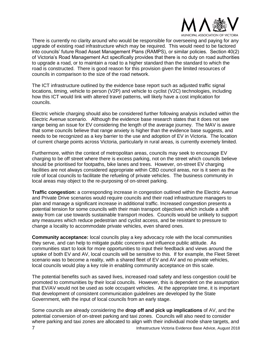

There is currently no clarity around who would be responsible for overseeing and paying for any upgrade of existing road infrastructure which may be required. This would need to be factored into councils' future Road Asset Management Plans (RAMPS), or similar policies. Section 40(2) of Victoria's Road Management Act specifically provides that there is no duty on road authorities to upgrade a road, or to maintain a road to a higher standard than the standard to which the road is constructed. There is good reason for this provision given the limited resources of councils in comparison to the size of the road network.

The ICT infrastructure outlined by the evidence base report such as adjusted traffic signal locations, timing, vehicle to person (V2P) and vehicle to cyclist (V2C) technologies, including how this ICT would link with altered travel patterns, will likely have a cost implication for councils.

Electric vehicle charging should also be considered further following analysis included within the Electric Avenue scenario. Although the evidence base research states that it does not see range being an issue for EV considering the length of the average journey. The MAV is aware that some councils believe that range anxiety is higher than the evidence base suggests, and needs to be recognized as a key barrier to the use and adoption of EV in Victoria. The location of current charge points across Victoria, particularly in rural areas, is currently exremely limited.

Furthermore, within the context of metropolitan areas, councils may seek to encourage EV charging to be off street where there is excess parking, not on the street which councils believe should be prioritised for footpaths, bike lanes and trees. However, on-street EV charging facilities are not always considered appropriate within CBD council areas, nor is it seen as the role of local councils to facilitate the refueling of private vehicles. The business community in local areas may object to the re-purposing of on-street parking.

**Traffic congestion:** a corresponding increase in congestion outlined within the Electric Avenue and Private Drive scenarios would require councils and their road infrastructure managers to plan and manage a significant increase in additional traffic. Increased congestion presents a potential tension for some councils with their main transport objectives which include a shift away from car use towards sustainable transport modes. Councils would be unlikely to support any measures which reduce pedestrian and cyclist access, and be resistant to pressure to change a locality to accommodate private vehicles, even shared ones.

**Community acceptance:** local councils play a key advocacy role with the local communities they serve, and can help to mitigate public concerns and influence public attitude. As communities start to look for more opportunities to input their feedback and views around the uptake of both EV and AV, local councils will be sensitive to this. If for example, the Fleet Street scenario was to become a reality, with a shared fleet of EV and AV and no private vehicles, local councils would play a key role in enabling community acceptance on this scale.

The potential benefits such as saved lives, increased road safety and less congestion could be promoted to communities by their local councils. However, this is dependent on the assumption that EV/AV would not be used as sole occupant vehicles. At the appropriate time, it is important that development of consistent communication guidelines are developed by the State Government, with the input of local councils from an early stage.

7 Infrastructure Victoria Evidence Base Advice, August 2018 Some councils are already considering the **drop off and pick up implications** of AV, and the potential conversion of on-street parking and taxi zones. Councils will also need to consider where parking and taxi zones are allocated to align with their individual mode share targets, and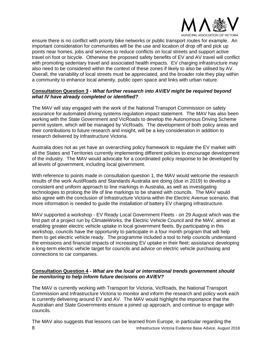

ensure there is no conflict with priority bike networks or public transport routes for example. An important consideration for communities will be the use and location of drop off and pick up points near homes, jobs and services to reduce conflicts on local streets and support active travel on foot or bicycle. Otherwise the proposed safety benefits of EV and AV travel will conflict with promoting sedentary travel and associated health impacts. EV charging infrastructure may also need to be considered within the context of these zones if likely to also be utilised by AV. Overall, the variability of local streets must be appreciated, and the broader role they play within a community to enhance local amenity, public open space and links with urban nature.

#### **Consultation Question 3 -** *What further research into AV/EV might be required beyond what IV have already completed or identified?*

The MAV will stay engaged with the work of the National Transport Commission on safety assurance for automated driving systems regulation impact statement. The MAV has also been working with the State Government and VicRoads to develop the Autonomous Driving Scheme permit system, which will be managed by VicRoads. The development of both policy areas and their contributions to future research and insight, will be a key consideration in addition to research delivered by Infrastructure Victoria.

Australia does not as yet have an overarching policy framework to regulate the EV market with all the States and Territories currently implementing different policies to encourage development of the industry. The MAV would advocate for a coordinated policy response to be developed by all levels of government, including local government.

With reference to points made in consultation question 1, the MAV would welcome the research results of the work AustRoads and Standards Australia are doing (due in 2019) to develop a consistent and uniform approach to line markings in Australia, as well as investigating technologies to prolong the life of line markings to be shared with councils. The MAV would also agree with the conclusion of Infrastructure Victoria within the Electric Avenue scenario, that more information is needed to guide the installation of battery EV charging infrastructure.

MAV supported a workshop - EV Ready Local Government Fleets - on 29 August which was the first part of a project run by ClimateWorks, the Electric Vehicle Council and the MAV, aimed at enabling greater electric vehicle uptake in local government fleets. By participating in this workshop, councils have the opportunity to participate in a four month program that will help them to get electric vehicle ready. The programme included a tool to help councils understand the emissions and financial impacts of increasing EV uptake in their fleet; assistance developing a long-term electric vehicle target for councils and advice on electric vehicle purchasing and connections to car companies.

#### **Consultation Question 4 -** *What are the local or international trends government should be monitoring to help inform future decisions on AV/EV?*

The MAV is currently working with Transport for Victoria, VicRoads, the National Transport Commission and Infrastructure Victoria to monitor and inform the research and policy work each is currently delivering around EV and AV. The MAV would highlight the importance that the Australian and State Governments ensure a joined up approach, and continue to engage with councils.

8 Infrastructure Victoria Evidence Base Advice, August 2018 The MAV also suggests that lessons can be learned from Europe, in particular regarding the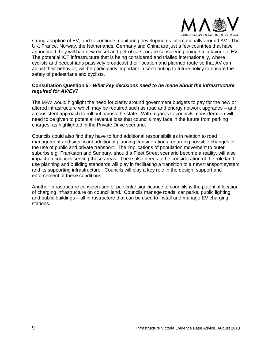

strong adoption of EV, and to continue monitoring developments internationally around AV. The UK, France, Norway, the Netherlands, Germany and China are just a few countries that have announced they will ban new diesel and petrol cars, or are considering doing so in favour of EV. The potential ICT infrastructure that is being considered and trialled internationally, where cyclists and pedestrians passively broadcast their location and planned route so that AV can adjust their behavior, will be particularly important in contributing to future policy to ensure the safety of pedestrians and cyclists.

#### **Consultation Question 5 -** *What key decisions need to be made about the infrastructure required for AV/EV?*

The MAV would highlight the need for clarity around government budgets to pay for the new or altered infrastructure which may be required such as road and energy network upgrades – and a consistent approach to roll out across the state. With regards to councils, consideration will need to be given to potential revenue loss that councils may face in the furure from parking charges, as highlighted in the Private Drive scenario.

Councils could also find they have to fund additional responsibilities in relation to road management and significant additional planning considerations regarding possible changes in the use of public and private transport. The implications of population movement to outer suburbs e.g. Frankston and Sunbury, should a Fleet Street scenario become a reality, will also impact on councils serving those areas. There also needs to be consideration of the role landuse planning and building standards will play in facilitating a transition to a new transport system and its supporting infrastructure. Councils will play a key role in the design, support and enforcement of these conditions.

Another infrastructure consideration of particular significance to councils is the potential location of charging infrastructure on council land. Councils manage roads, car parks, public lighting and public buildings – all infrastructure that can be used to install and manage EV charging stations.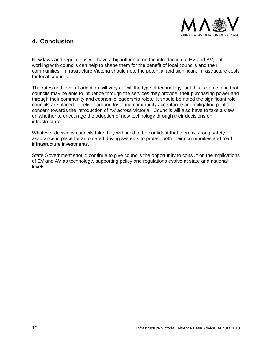

## <span id="page-9-0"></span>**4. Conclusion**

New laws and regulations will have a big influence on the introduction of EV and AV, but working with councils can help to shape them for the benefit of local councils and their communities. Infrastructure Victoria should note the potential and significant infrastructure costs for local councils.

The rates and level of adoption will vary as will the type of technology, but this is something that councils may be able to influence through the services they provide, their purchasing power and through their community and economic leadership roles. It should be noted the significant role councils are placed to deliver around fostering community acceptance and mitigating public concern towards the introduction of AV across Victoria. Councils will also have to take a view on whether to encourage the adoption of new technology through their decisions on infrastructure.

Whatever decisions councils take they will need to be confident that there is strong safety assurance in place for automated driving systems to protect both their communities and road infrastructure investments.

State Government should continue to give councils the opportunity to consult on the implications of EV and AV as technology, supporting policy and regulations evolve at state and national levels.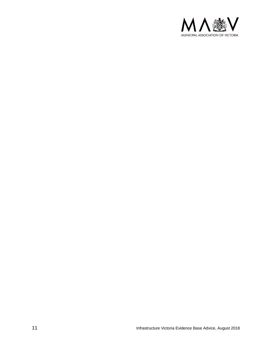